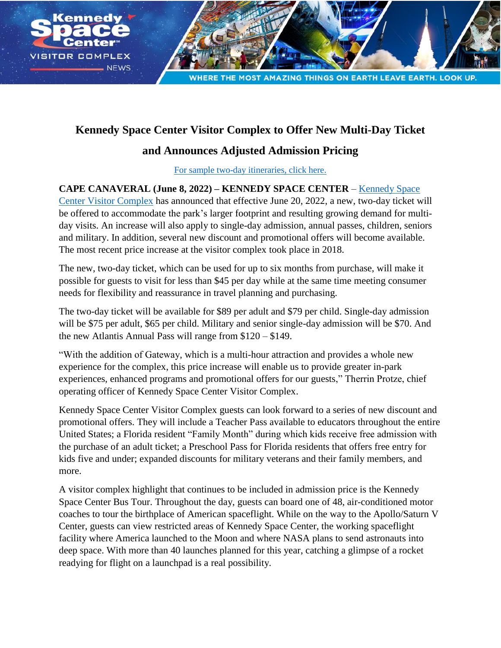

## **Kennedy Space Center Visitor Complex to Offer New Multi-Day Ticket**

## **and Announces Adjusted Admission Pricing**

For sample [two-day itineraries, click here](https://www.dropbox.com/s/170evuq89558fyh/Kennedy%20Space%20Center%20Visitor%20Complex%202%20Day_Itinerary.pdf?dl=0).

**CAPE CANAVERAL (June 8, 2022) – KENNEDY SPACE CENTER** – [Kennedy Space](http://www.kennedyspacecenter.com/)  [Center Visitor Complex](http://www.kennedyspacecenter.com/) has announced that effective June 20, 2022, a new, two-day ticket will be offered to accommodate the park's larger footprint and resulting growing demand for multiday visits. An increase will also apply to single-day admission, annual passes, children, seniors and military. In addition, several new discount and promotional offers will become available. The most recent price increase at the visitor complex took place in 2018.

The new, two-day ticket, which can be used for up to six months from purchase, will make it possible for guests to visit for less than \$45 per day while at the same time meeting consumer needs for flexibility and reassurance in travel planning and purchasing.

The two-day ticket will be available for \$89 per adult and \$79 per child. Single-day admission will be \$75 per adult, \$65 per child. Military and senior single-day admission will be \$70. And the new Atlantis Annual Pass will range from \$120 – \$149.

"With the addition of Gateway, which is a multi-hour attraction and provides a whole new experience for the complex, this price increase will enable us to provide greater in-park experiences, enhanced programs and promotional offers for our guests," Therrin Protze, chief operating officer of Kennedy Space Center Visitor Complex.

Kennedy Space Center Visitor Complex guests can look forward to a series of new discount and promotional offers. They will include a Teacher Pass available to educators throughout the entire United States; a Florida resident "Family Month" during which kids receive free admission with the purchase of an adult ticket; a Preschool Pass for Florida residents that offers free entry for kids five and under; expanded discounts for military veterans and their family members, and more.

A visitor complex highlight that continues to be included in admission price is the Kennedy Space Center Bus Tour. Throughout the day, guests can board one of 48, air-conditioned motor coaches to tour the birthplace of American spaceflight. While on the way to the Apollo/Saturn V Center, guests can view restricted areas of Kennedy Space Center, the working spaceflight facility where America launched to the Moon and where NASA plans to send astronauts into deep space. With more than 40 launches planned for this year, catching a glimpse of a rocket readying for flight on a launchpad is a real possibility.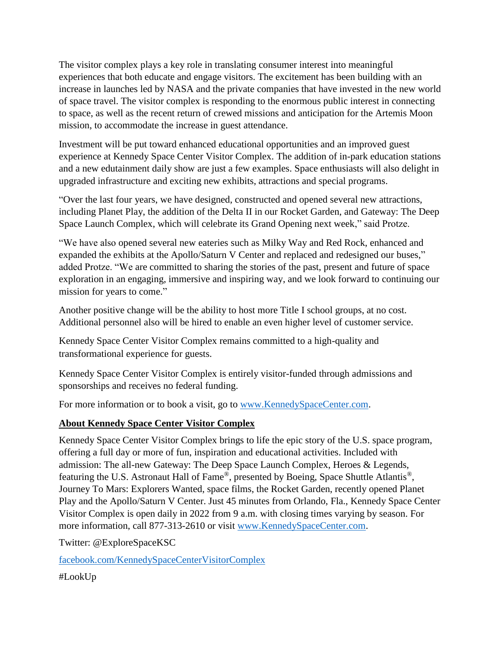The visitor complex plays a key role in translating consumer interest into meaningful experiences that both educate and engage visitors. The excitement has been building with an increase in launches led by NASA and the private companies that have invested in the new world of space travel. The visitor complex is responding to the enormous public interest in connecting to space, as well as the recent return of crewed missions and anticipation for the Artemis Moon mission, to accommodate the increase in guest attendance.

Investment will be put toward enhanced educational opportunities and an improved guest experience at Kennedy Space Center Visitor Complex. The addition of in-park education stations and a new edutainment daily show are just a few examples. Space enthusiasts will also delight in upgraded infrastructure and exciting new exhibits, attractions and special programs.

"Over the last four years, we have designed, constructed and opened several new attractions, including Planet Play, the addition of the Delta II in our Rocket Garden, and Gateway: The Deep Space Launch Complex, which will celebrate its Grand Opening next week," said Protze.

"We have also opened several new eateries such as Milky Way and Red Rock, enhanced and expanded the exhibits at the Apollo/Saturn V Center and replaced and redesigned our buses," added Protze. "We are committed to sharing the stories of the past, present and future of space exploration in an engaging, immersive and inspiring way, and we look forward to continuing our mission for years to come."

Another positive change will be the ability to host more Title I school groups, at no cost. Additional personnel also will be hired to enable an even higher level of customer service.

Kennedy Space Center Visitor Complex remains committed to a high-quality and transformational experience for guests.

Kennedy Space Center Visitor Complex is entirely visitor-funded through admissions and sponsorships and receives no federal funding.

For more information or to book a visit, go to [www.KennedySpaceCenter.com.](http://www.kennedyspacecenter.com/)

## **About Kennedy Space Center Visitor Complex**

Kennedy Space Center Visitor Complex brings to life the epic story of the U.S. space program, offering a full day or more of fun, inspiration and educational activities. Included with admission: The all-new Gateway: The Deep Space Launch Complex, Heroes & Legends, featuring the U.S. Astronaut Hall of Fame®, presented by Boeing, Space Shuttle Atlantis®, Journey To Mars: Explorers Wanted, space films, the Rocket Garden, recently opened Planet Play and the Apollo/Saturn V Center. Just 45 minutes from Orlando, Fla., Kennedy Space Center Visitor Complex is open daily in 2022 from 9 a.m. with closing times varying by season. For more information, call 877-313-2610 or visit [www.KennedySpaceCenter.com.](http://www.kennedyspacecenter.com/)

Twitter: @ExploreSpaceKSC

[facebook.com/KennedySpaceCenterVisitorComplex](http://facebook.com/KennedySpaceCenterVisitorComplex)

#LookUp